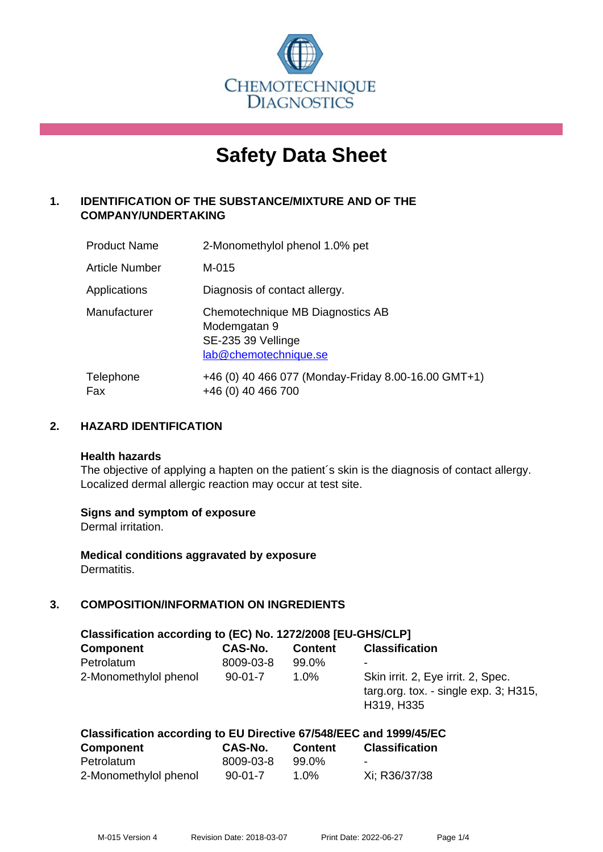

# **Safety Data Sheet**

# **1. IDENTIFICATION OF THE SUBSTANCE/MIXTURE AND OF THE COMPANY/UNDERTAKING**

| <b>Product Name</b> | 2-Monomethylol phenol 1.0% pet                                                                  |
|---------------------|-------------------------------------------------------------------------------------------------|
| Article Number      | M-015                                                                                           |
| Applications        | Diagnosis of contact allergy.                                                                   |
| Manufacturer        | Chemotechnique MB Diagnostics AB<br>Modemgatan 9<br>SE-235 39 Vellinge<br>lab@chemotechnique.se |
| Telephone<br>Fax    | +46 (0) 40 466 077 (Monday-Friday 8.00-16.00 GMT+1)<br>+46 (0) 40 466 700                       |

## **2. HAZARD IDENTIFICATION**

#### **Health hazards**

The objective of applying a hapten on the patient's skin is the diagnosis of contact allergy. Localized dermal allergic reaction may occur at test site.

## **Signs and symptom of exposure**

Dermal irritation.

**Medical conditions aggravated by exposure** Dermatitis.

# **3. COMPOSITION/INFORMATION ON INGREDIENTS**

| Classification according to (EC) No. 1272/2008 [EU-GHS/CLP] |                |                |                                                                                              |  |  |
|-------------------------------------------------------------|----------------|----------------|----------------------------------------------------------------------------------------------|--|--|
| <b>Component</b>                                            | <b>CAS-No.</b> | <b>Content</b> | <b>Classification</b>                                                                        |  |  |
| Petrolatum                                                  | 8009-03-8      | 99.0%          | ۰                                                                                            |  |  |
| 2-Monomethylol phenol                                       | $90 - 01 - 7$  | 1.0%           | Skin irrit. 2, Eye irrit. 2, Spec.<br>targ.org. tox. - single $exp. 3$ ; H315,<br>H319, H335 |  |  |

| Classification according to EU Directive 67/548/EEC and 1999/45/EC |           |                |                       |  |
|--------------------------------------------------------------------|-----------|----------------|-----------------------|--|
| Component                                                          | CAS-No.   | <b>Content</b> | <b>Classification</b> |  |
| Petrolatum                                                         | 8009-03-8 | 99.0%          |                       |  |
| 2-Monomethylol phenol                                              | $90-01-7$ | $1.0\%$        | Xi; R36/37/38         |  |

M-015 Version 4 Revision Date: 2018-03-07 Print Date: 2022-06-27 Page 1/4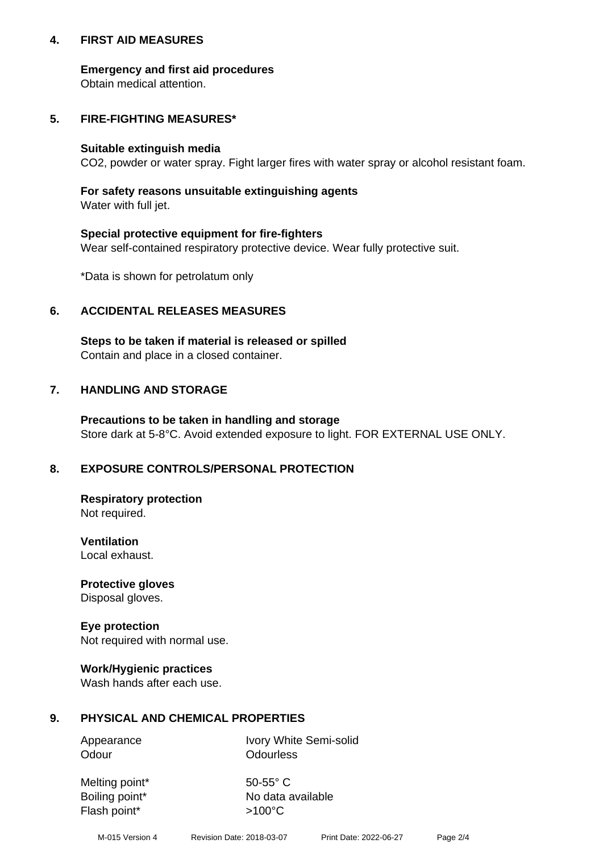## **4. FIRST AID MEASURES**

## **Emergency and first aid procedures**

Obtain medical attention.

# **5. FIRE-FIGHTING MEASURES\***

#### **Suitable extinguish media**

CO2, powder or water spray. Fight larger fires with water spray or alcohol resistant foam.

# **For safety reasons unsuitable extinguishing agents**

Water with full jet.

## **Special protective equipment for fire-fighters**

Wear self-contained respiratory protective device. Wear fully protective suit.

\*Data is shown for petrolatum only

## **6. ACCIDENTAL RELEASES MEASURES**

**Steps to be taken if material is released or spilled** Contain and place in a closed container.

# **7. HANDLING AND STORAGE**

**Precautions to be taken in handling and storage** Store dark at 5-8°C. Avoid extended exposure to light. FOR EXTERNAL USE ONLY.

# **8. EXPOSURE CONTROLS/PERSONAL PROTECTION**

**Respiratory protection** Not required.

**Ventilation** Local exhaust.

**Protective gloves** Disposal gloves.

#### **Eye protection** Not required with normal use.

## **Work/Hygienic practices**

Wash hands after each use.

## **9. PHYSICAL AND CHEMICAL PROPERTIES**

Odour **Odourless** 

Appearance Ivory White Semi-solid

Melting point\* 50-55° C Flash point\*  $>100^{\circ}$ C

Boiling point\* No data available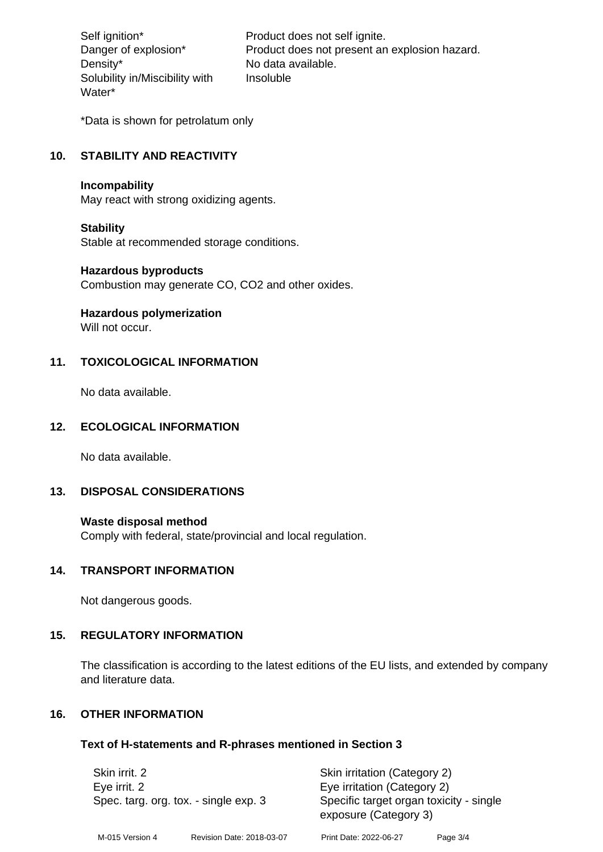Density\* No data available. Solubility in/Miscibility with Water\*

Self ignition\* Product does not self ignite. Danger of explosion\* Product does not present an explosion hazard. Insoluble

\*Data is shown for petrolatum only

# **10. STABILITY AND REACTIVITY**

#### **Incompability**

May react with strong oxidizing agents.

#### **Stability**

Stable at recommended storage conditions.

## **Hazardous byproducts**

Combustion may generate CO, CO2 and other oxides.

**Hazardous polymerization**

Will not occur.

## **11. TOXICOLOGICAL INFORMATION**

No data available.

# **12. ECOLOGICAL INFORMATION**

No data available.

## **13. DISPOSAL CONSIDERATIONS**

#### **Waste disposal method**

Comply with federal, state/provincial and local regulation.

#### **14. TRANSPORT INFORMATION**

Not dangerous goods.

## **15. REGULATORY INFORMATION**

The classification is according to the latest editions of the EU lists, and extended by company and literature data.

#### **16. OTHER INFORMATION**

#### **Text of H-statements and R-phrases mentioned in Section 3**

| Skin irrit. 2<br>Eye irrit. 2<br>Spec. targ. org. tox. - single exp. 3 |                           | Skin irritation (Category 2)<br>Eye irritation (Category 2)<br>Specific target organ toxicity - single |          |
|------------------------------------------------------------------------|---------------------------|--------------------------------------------------------------------------------------------------------|----------|
|                                                                        |                           | exposure (Category 3)                                                                                  |          |
| M-015 Version 4                                                        | Revision Date: 2018-03-07 | Print Date: 2022-06-27                                                                                 | Page 3/4 |